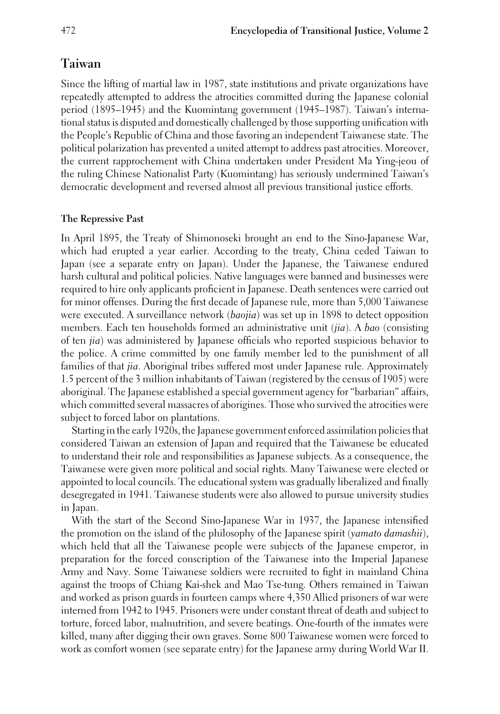# **Taiwan**

Since the lifting of martial law in 1987, state institutions and private organizations have repeatedly attempted to address the atrocities committed during the Japanese colonial period (1895–1945) and the Kuomintang government (1945–1987). Taiwan's international status is disputed and domestically challenged by those supporting unification with the People's Republic of China and those favoring an independent Taiwanese state. The political polarization has prevented a united attempt to address past atrocities. Moreover, the current rapprochement with China undertaken under President Ma Ying-jeou of the ruling Chinese Nationalist Party (Kuomintang) has seriously undermined Taiwan's democratic development and reversed almost all previous transitional justice efforts.

## **The Repressive Past**

In April 1895, the Treaty of Shimonoseki brought an end to the Sino-Japanese War, which had erupted a year earlier. According to the treaty, China ceded Taiwan to Japan (see a separate entry on Japan). Under the Japanese, the Taiwanese endured harsh cultural and political policies. Native languages were banned and businesses were required to hire only applicants proficient in Japanese. Death sentences were carried out for minor offenses. During the first decade of Japanese rule, more than 5,000 Taiwanese were executed. A surveillance network (*baojia*) was set up in 1898 to detect opposition members. Each ten households formed an administrative unit (*jia*). A *bao* (consisting of ten *jia*) was administered by Japanese officials who reported suspicious behavior to the police. A crime committed by one family member led to the punishment of all families of that *jia*. Aboriginal tribes suffered most under Japanese rule. Approximately 1.5 percent of the 3 million inhabitants of Taiwan (registered by the census of 1905) were aboriginal. The Japanese established a special government agency for "barbarian" affairs, which committed several massacres of aborigines. Those who survived the atrocities were subject to forced labor on plantations.

Starting in the early 1920s, the Japanese government enforced assimilation policies that considered Taiwan an extension of Japan and required that the Taiwanese be educated to understand their role and responsibilities as Japanese subjects. As a consequence, the Taiwanese were given more political and social rights. Many Taiwanese were elected or appointed to local councils. The educational system was gradually liberalized and finally desegregated in 1941. Taiwanese students were also allowed to pursue university studies in Japan.

With the start of the Second Sino-Japanese War in 1937, the Japanese intensified the promotion on the island of the philosophy of the Japanese spirit (*yamato damashii*), which held that all the Taiwanese people were subjects of the Japanese emperor, in preparation for the forced conscription of the Taiwanese into the Imperial Japanese Army and Navy. Some Taiwanese soldiers were recruited to fight in mainland China against the troops of Chiang Kai-shek and Mao Tse-tung. Others remained in Taiwan and worked as prison guards in fourteen camps where 4,350 Allied prisoners of war were interned from 1942 to 1945. Prisoners were under constant threat of death and subject to torture, forced labor, malnutrition, and severe beatings. One-fourth of the inmates were killed, many after digging their own graves. Some 800 Taiwanese women were forced to work as comfort women (see separate entry) for the Japanese army during World War II.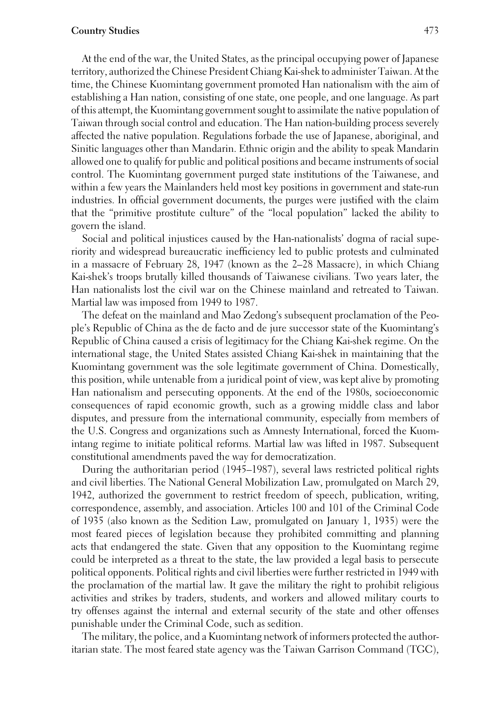### **Country Studies** 473

At the end of the war, the United States, as the principal occupying power of Japanese territory, authorized the Chinese President Chiang Kai-shek to administer Taiwan. At the time, the Chinese Kuomintang government promoted Han nationalism with the aim of establishing a Han nation, consisting of one state, one people, and one language. As part of this attempt, the Kuomintang government sought to assimilate the native population of Taiwan through social control and education. The Han nation-building process severely affected the native population. Regulations forbade the use of Japanese, aboriginal, and Sinitic languages other than Mandarin. Ethnic origin and the ability to speak Mandarin allowed one to qualify for public and political positions and became instruments of social control. The Kuomintang government purged state institutions of the Taiwanese, and within a few years the Mainlanders held most key positions in government and state-run industries. In official government documents, the purges were justified with the claim that the "primitive prostitute culture" of the "local population" lacked the ability to govern the island.

Social and political injustices caused by the Han-nationalists' dogma of racial superiority and widespread bureaucratic inefficiency led to public protests and culminated in a massacre of February 28, 1947 (known as the 2–28 Massacre), in which Chiang Kai-shek's troops brutally killed thousands of Taiwanese civilians. Two years later, the Han nationalists lost the civil war on the Chinese mainland and retreated to Taiwan. Martial law was imposed from 1949 to 1987.

The defeat on the mainland and Mao Zedong's subsequent proclamation of the People's Republic of China as the de facto and de jure successor state of the Kuomintang's Republic of China caused a crisis of legitimacy for the Chiang Kai-shek regime. On the international stage, the United States assisted Chiang Kai-shek in maintaining that the Kuomintang government was the sole legitimate government of China. Domestically, this position, while untenable from a juridical point of view, was kept alive by promoting Han nationalism and persecuting opponents. At the end of the 1980s, socioeconomic consequences of rapid economic growth, such as a growing middle class and labor disputes, and pressure from the international community, especially from members of the U.S. Congress and organizations such as Amnesty International, forced the Kuomintang regime to initiate political reforms. Martial law was lifted in 1987. Subsequent constitutional amendments paved the way for democratization.

During the authoritarian period (1945–1987), several laws restricted political rights and civil liberties. The National General Mobilization Law, promulgated on March 29, 1942, authorized the government to restrict freedom of speech, publication, writing, correspondence, assembly, and association. Articles 100 and 101 of the Criminal Code of 1935 (also known as the Sedition Law, promulgated on January 1, 1935) were the most feared pieces of legislation because they prohibited committing and planning acts that endangered the state. Given that any opposition to the Kuomintang regime could be interpreted as a threat to the state, the law provided a legal basis to persecute political opponents. Political rights and civil liberties were further restricted in 1949 with the proclamation of the martial law. It gave the military the right to prohibit religious activities and strikes by traders, students, and workers and allowed military courts to try offenses against the internal and external security of the state and other offenses punishable under the Criminal Code, such as sedition.

The military, the police, and a Kuomintang network of informers protected the authoritarian state. The most feared state agency was the Taiwan Garrison Command (TGC),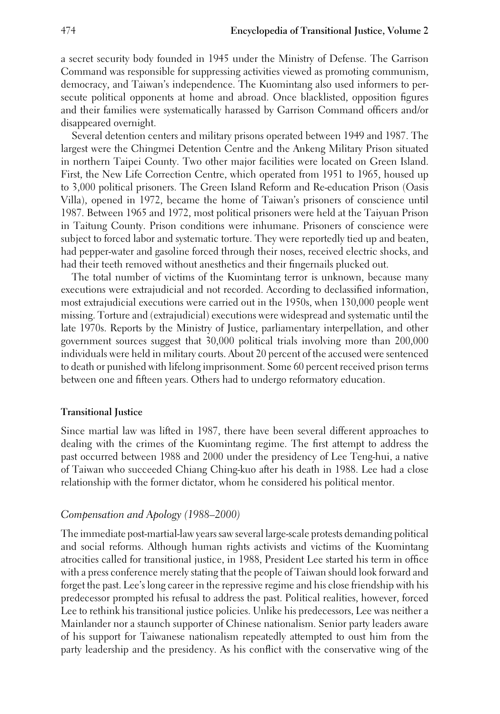a secret security body founded in 1945 under the Ministry of Defense. The Garrison Command was responsible for suppressing activities viewed as promoting communism, democracy, and Taiwan's independence. The Kuomintang also used informers to persecute political opponents at home and abroad. Once blacklisted, opposition figures and their families were systematically harassed by Garrison Command officers and/or disappeared overnight.

Several detention centers and military prisons operated between 1949 and 1987. The largest were the Chingmei Detention Centre and the Ankeng Military Prison situated in northern Taipei County. Two other major facilities were located on Green Island. First, the New Life Correction Centre, which operated from 1951 to 1965, housed up to 3,000 political prisoners. The Green Island Reform and Re-education Prison (Oasis Villa), opened in 1972, became the home of Taiwan's prisoners of conscience until 1987. Between 1965 and 1972, most political prisoners were held at the Taiyuan Prison in Taitung County. Prison conditions were inhumane. Prisoners of conscience were subject to forced labor and systematic torture. They were reportedly tied up and beaten, had pepper-water and gasoline forced through their noses, received electric shocks, and had their teeth removed without anesthetics and their fingernails plucked out.

The total number of victims of the Kuomintang terror is unknown, because many executions were extrajudicial and not recorded. According to declassified information, most extrajudicial executions were carried out in the 1950s, when 130,000 people went missing. Torture and (extrajudicial) executions were widespread and systematic until the late 1970s. Reports by the Ministry of Justice, parliamentary interpellation, and other government sources suggest that 30,000 political trials involving more than 200,000 individuals were held in military courts. About 20 percent of the accused were sentenced to death or punished with lifelong imprisonment. Some 60 percent received prison terms between one and fifteen years. Others had to undergo reformatory education.

#### **Transitional Justice**

Since martial law was lifted in 1987, there have been several different approaches to dealing with the crimes of the Kuomintang regime. The first attempt to address the past occurred between 1988 and 2000 under the presidency of Lee Teng-hui, a native of Taiwan who succeeded Chiang Ching-kuo after his death in 1988. Lee had a close relationship with the former dictator, whom he considered his political mentor.

## *Compensation and Apology (1988–2000)*

The immediate post-martial-law years saw several large-scale protests demanding political and social reforms. Although human rights activists and victims of the Kuomintang atrocities called for transitional justice, in 1988, President Lee started his term in office with a press conference merely stating that the people of Taiwan should look forward and forget the past. Lee's long career in the repressive regime and his close friendship with his predecessor prompted his refusal to address the past. Political realities, however, forced Lee to rethink his transitional justice policies. Unlike his predecessors, Lee was neither a Mainlander nor a staunch supporter of Chinese nationalism. Senior party leaders aware of his support for Taiwanese nationalism repeatedly attempted to oust him from the party leadership and the presidency. As his conflict with the conservative wing of the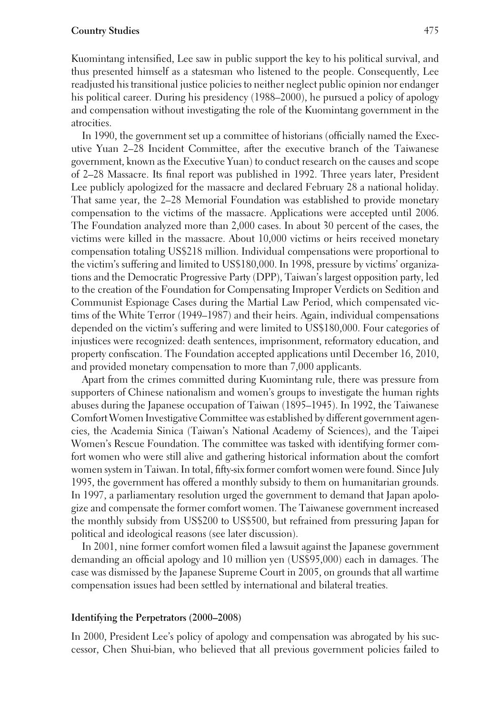#### **Country Studies** 475

Kuomintang intensified, Lee saw in public support the key to his political survival, and thus presented himself as a statesman who listened to the people. Consequently, Lee readjusted his transitional justice policies to neither neglect public opinion nor endanger his political career. During his presidency (1988–2000), he pursued a policy of apology and compensation without investigating the role of the Kuomintang government in the atrocities.

In 1990, the government set up a committee of historians (officially named the Executive Yuan 2–28 Incident Committee, after the executive branch of the Taiwanese government, known as the Executive Yuan) to conduct research on the causes and scope of 2–28 Massacre. Its final report was published in 1992. Three years later, President Lee publicly apologized for the massacre and declared February 28 a national holiday. That same year, the 2–28 Memorial Foundation was established to provide monetary compensation to the victims of the massacre. Applications were accepted until 2006. The Foundation analyzed more than 2,000 cases. In about 30 percent of the cases, the victims were killed in the massacre. About 10,000 victims or heirs received monetary compensation totaling US\$218 million. Individual compensations were proportional to the victim's suffering and limited to US\$180,000. In 1998, pressure by victims' organizations and the Democratic Progressive Party (DPP), Taiwan's largest opposition party, led to the creation of the Foundation for Compensating Improper Verdicts on Sedition and Communist Espionage Cases during the Martial Law Period, which compensated victims of the White Terror (1949–1987) and their heirs. Again, individual compensations depended on the victim's suffering and were limited to US\$180,000. Four categories of injustices were recognized: death sentences, imprisonment, reformatory education, and property confiscation. The Foundation accepted applications until December 16, 2010, and provided monetary compensation to more than 7,000 applicants.

Apart from the crimes committed during Kuomintang rule, there was pressure from supporters of Chinese nationalism and women's groups to investigate the human rights abuses during the Japanese occupation of Taiwan (1895–1945). In 1992, the Taiwanese Comfort Women Investigative Committee was established by different government agencies, the Academia Sinica (Taiwan's National Academy of Sciences), and the Taipei Women's Rescue Foundation. The committee was tasked with identifying former comfort women who were still alive and gathering historical information about the comfort women system in Taiwan. In total, fifty-six former comfort women were found. Since July 1995, the government has offered a monthly subsidy to them on humanitarian grounds. In 1997, a parliamentary resolution urged the government to demand that Japan apologize and compensate the former comfort women. The Taiwanese government increased the monthly subsidy from US\$200 to US\$500, but refrained from pressuring Japan for political and ideological reasons (see later discussion).

In 2001, nine former comfort women filed a lawsuit against the Japanese government demanding an official apology and 10 million yen (US\$95,000) each in damages. The case was dismissed by the Japanese Supreme Court in 2005, on grounds that all wartime compensation issues had been settled by international and bilateral treaties.

#### **Identifying the Perpetrators (2000–2008)**

In 2000, President Lee's policy of apology and compensation was abrogated by his successor, Chen Shui-bian, who believed that all previous government policies failed to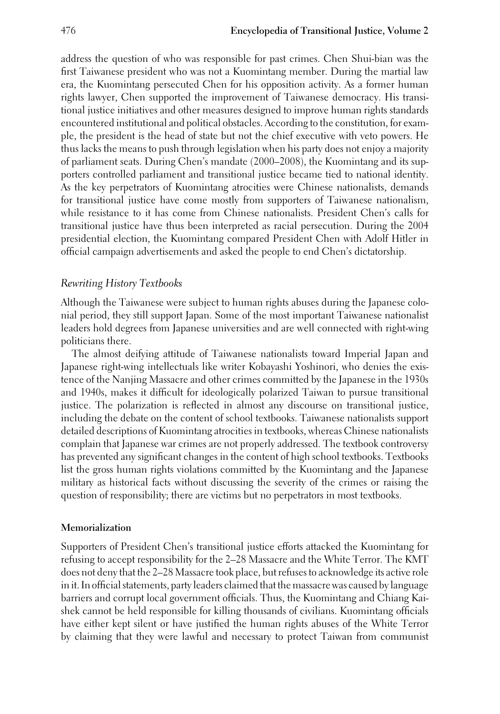address the question of who was responsible for past crimes. Chen Shui-bian was the first Taiwanese president who was not a Kuomintang member. During the martial law era, the Kuomintang persecuted Chen for his opposition activity. As a former human rights lawyer, Chen supported the improvement of Taiwanese democracy. His transitional justice initiatives and other measures designed to improve human rights standards encountered institutional and political obstacles. According to the constitution, for example, the president is the head of state but not the chief executive with veto powers. He thus lacks the means to push through legislation when his party does not enjoy a majority of parliament seats. During Chen's mandate (2000–2008), the Kuomintang and its supporters controlled parliament and transitional justice became tied to national identity. As the key perpetrators of Kuomintang atrocities were Chinese nationalists, demands for transitional justice have come mostly from supporters of Taiwanese nationalism, while resistance to it has come from Chinese nationalists. President Chen's calls for transitional justice have thus been interpreted as racial persecution. During the 2004 presidential election, the Kuomintang compared President Chen with Adolf Hitler in official campaign advertisements and asked the people to end Chen's dictatorship.

## *Rewriting History Textbooks*

Although the Taiwanese were subject to human rights abuses during the Japanese colonial period, they still support Japan. Some of the most important Taiwanese nationalist leaders hold degrees from Japanese universities and are well connected with right-wing politicians there.

The almost deifying attitude of Taiwanese nationalists toward Imperial Japan and Japanese right-wing intellectuals like writer Kobayashi Yoshinori, who denies the existence of the Nanjing Massacre and other crimes committed by the Japanese in the 1930s and 1940s, makes it difficult for ideologically polarized Taiwan to pursue transitional justice. The polarization is reflected in almost any discourse on transitional justice, including the debate on the content of school textbooks. Taiwanese nationalists support detailed descriptions of Kuomintang atrocities in textbooks, whereas Chinese nationalists complain that Japanese war crimes are not properly addressed. The textbook controversy has prevented any significant changes in the content of high school textbooks. Textbooks list the gross human rights violations committed by the Kuomintang and the Japanese military as historical facts without discussing the severity of the crimes or raising the question of responsibility; there are victims but no perpetrators in most textbooks.

#### **Memorialization**

Supporters of President Chen's transitional justice efforts attacked the Kuomintang for refusing to accept responsibility for the 2–28 Massacre and the White Terror. The KMT does not deny that the 2–28 Massacre took place, but refuses to acknowledge its active role in it. In official statements, party leaders claimed that the massacre was caused by language barriers and corrupt local government officials. Thus, the Kuomintang and Chiang Kaishek cannot be held responsible for killing thousands of civilians. Kuomintang officials have either kept silent or have justified the human rights abuses of the White Terror by claiming that they were lawful and necessary to protect Taiwan from communist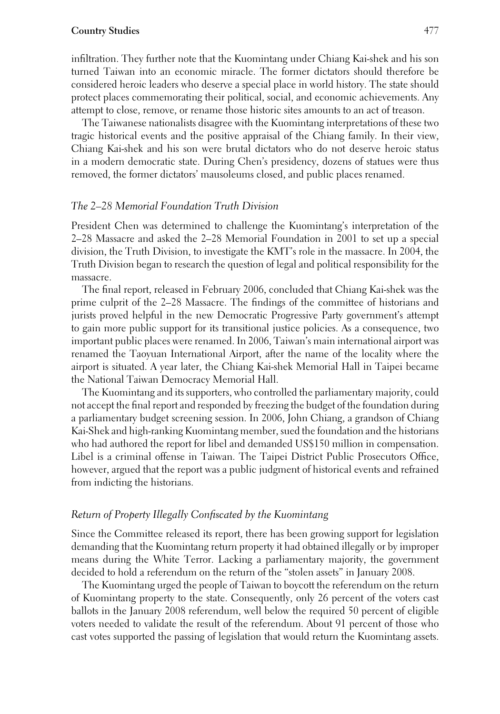#### **Country Studies** 477

infiltration. They further note that the Kuomintang under Chiang Kai-shek and his son turned Taiwan into an economic miracle. The former dictators should therefore be considered heroic leaders who deserve a special place in world history. The state should protect places commemorating their political, social, and economic achievements. Any attempt to close, remove, or rename those historic sites amounts to an act of treason.

The Taiwanese nationalists disagree with the Kuomintang interpretations of these two tragic historical events and the positive appraisal of the Chiang family. In their view, Chiang Kai-shek and his son were brutal dictators who do not deserve heroic status in a modern democratic state. During Chen's presidency, dozens of statues were thus removed, the former dictators' mausoleums closed, and public places renamed.

## *The 2–28 Memorial Foundation Truth Division*

President Chen was determined to challenge the Kuomintang's interpretation of the 2–28 Massacre and asked the 2–28 Memorial Foundation in 2001 to set up a special division, the Truth Division, to investigate the KMT's role in the massacre. In 2004, the Truth Division began to research the question of legal and political responsibility for the massacre.

The final report, released in February 2006, concluded that Chiang Kai-shek was the prime culprit of the 2–28 Massacre. The findings of the committee of historians and jurists proved helpful in the new Democratic Progressive Party government's attempt to gain more public support for its transitional justice policies. As a consequence, two important public places were renamed. In 2006, Taiwan's main international airport was renamed the Taoyuan International Airport, after the name of the locality where the airport is situated. A year later, the Chiang Kai-shek Memorial Hall in Taipei became the National Taiwan Democracy Memorial Hall.

The Kuomintang and its supporters, who controlled the parliamentary majority, could not accept the final report and responded by freezing the budget of the foundation during a parliamentary budget screening session. In 2006, John Chiang, a grandson of Chiang Kai-Shek and high-ranking Kuomintang member, sued the foundation and the historians who had authored the report for libel and demanded US\$150 million in compensation. Libel is a criminal offense in Taiwan. The Taipei District Public Prosecutors Office, however, argued that the report was a public judgment of historical events and refrained from indicting the historians.

### *Return of Property Illegally Confiscated by the Kuomintang*

Since the Committee released its report, there has been growing support for legislation demanding that the Kuomintang return property it had obtained illegally or by improper means during the White Terror. Lacking a parliamentary majority, the government decided to hold a referendum on the return of the "stolen assets" in January 2008.

The Kuomintang urged the people of Taiwan to boycott the referendum on the return of Kuomintang property to the state. Consequently, only 26 percent of the voters cast ballots in the January 2008 referendum, well below the required 50 percent of eligible voters needed to validate the result of the referendum. About 91 percent of those who cast votes supported the passing of legislation that would return the Kuomintang assets.